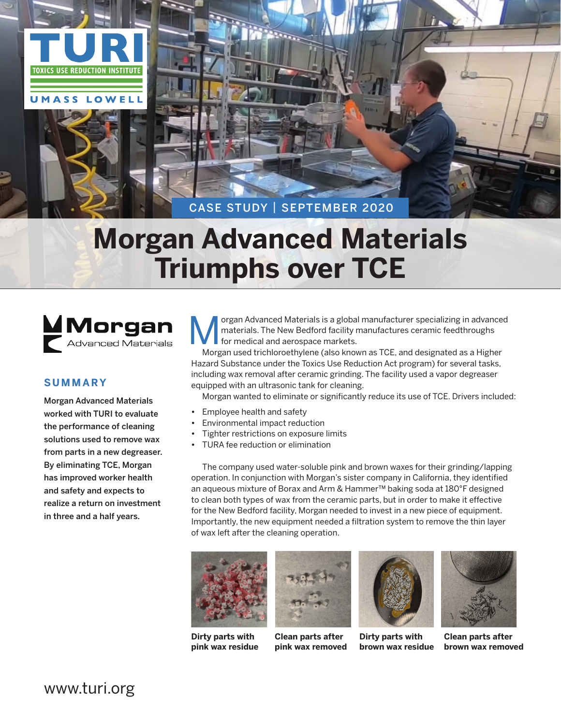

# **Morgan Advanced Materials Triumphs over TCE**

Morgan Advanced Materials

# **Summary**

Morgan Advanced Materials worked with TURI to evaluate the performance of cleaning solutions used to remove wax from parts in a new degreaser. By eliminating TCE, Morgan has improved worker health and safety and expects to realize a return on investment in three and a half years.

organ Advanced Materials is a global manufacturer specializing in advanced materials. The New Bedford facility manufactures ceramic feedthroughs for medical and aerospace markets.

Morgan used trichloroethylene (also known as TCE, and designated as a Higher Hazard Substance under the Toxics Use Reduction Act program) for several tasks, including wax removal after ceramic grinding. The facility used a vapor degreaser equipped with an ultrasonic tank for cleaning.

Morgan wanted to eliminate or significantly reduce its use of TCE. Drivers included:

- **•**  Employee health and safety
- **Environmental impact reduction**
- **Tighter restrictions on exposure limits**
- **TURA** fee reduction or elimination

The company used water-soluble pink and brown waxes for their grinding/lapping operation. In conjunction with Morgan's sister company in California, they identified an aqueous mixture of Borax and Arm & Hammer™ baking soda at 180°F designed to clean both types of wax from the ceramic parts, but in order to make it effective for the New Bedford facility, Morgan needed to invest in a new piece of equipment. Importantly, the new equipment needed a filtration system to remove the thin layer of wax left after the cleaning operation.







**Clean parts after pink wax removed**



**Dirty parts with brown wax residue**



**Clean parts after brown wax removed**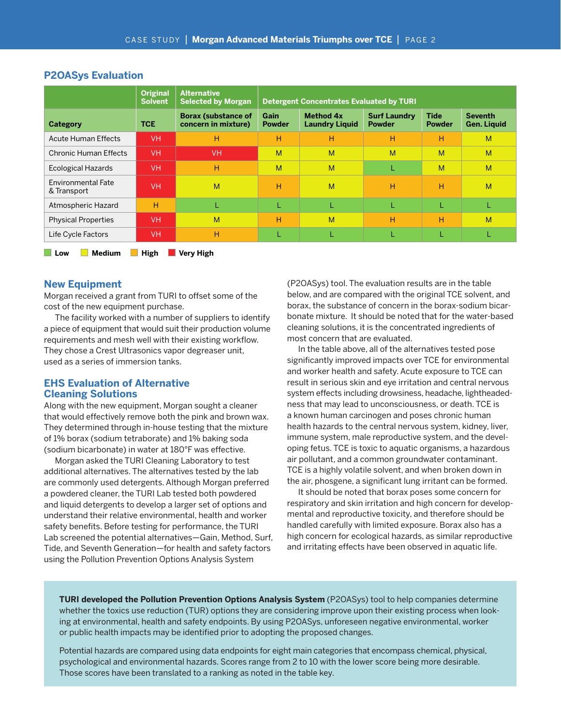|                                   | <b>Original</b><br><b>Solvent</b> | <b>Alternative</b><br><b>Selected by Morgan</b>   | <b>Detergent Concentrates Evaluated by TURI</b> |                                           |                                      |                              |                                      |
|-----------------------------------|-----------------------------------|---------------------------------------------------|-------------------------------------------------|-------------------------------------------|--------------------------------------|------------------------------|--------------------------------------|
| <b>Category</b>                   | <b>TCE</b>                        | <b>Borax (substance of</b><br>concern in mixture) | Gain<br><b>Powder</b>                           | <b>Method 4x</b><br><b>Laundry Liquid</b> | <b>Surf Laundry</b><br><b>Powder</b> | <b>Tide</b><br><b>Powder</b> | <b>Seventh</b><br><b>Gen. Liquid</b> |
| <b>Acute Human Effects</b>        | VH.                               | н                                                 | Η                                               | н                                         | н                                    | н                            | M                                    |
| Chronic Human Effects             | <b>VH</b>                         | <b>VH</b>                                         | M                                               | M                                         | M                                    | M                            | M                                    |
| <b>Ecological Hazards</b>         | <b>VH</b>                         | н                                                 | M                                               | M                                         |                                      | M                            | M                                    |
| Environmental Fate<br>& Transport | <b>VH</b>                         | M                                                 | н                                               | M                                         | н                                    | н                            | M                                    |
| Atmospheric Hazard                | н                                 | L                                                 |                                                 | L                                         | L                                    |                              | L                                    |
| <b>Physical Properties</b>        | <b>VH</b>                         | M                                                 | Ή                                               | M                                         | н                                    | н                            | M                                    |
| Life Cycle Factors                | <b>VH</b>                         | н                                                 |                                                 |                                           |                                      |                              |                                      |

### **P2OASys Evaluation**

**New Equipment**

Morgan received a grant from TURI to offset some of the cost of the new equipment purchase.

■ Low ■ Medium ■ High ■ Very High

The facility worked with a number of suppliers to identify a piece of equipment that would suit their production volume requirements and mesh well with their existing workflow. They chose a Crest Ultrasonics vapor degreaser unit, used as a series of immersion tanks.

#### **EHS Evaluation of Alternative Cleaning Solutions**

Along with the new equipment, Morgan sought a cleaner that would effectively remove both the pink and brown wax. They determined through in-house testing that the mixture of 1% borax (sodium tetraborate) and 1% baking soda (sodium bicarbonate) in water at 180°F was effective.

Morgan asked the TURI Cleaning Laboratory to test additional alternatives. The alternatives tested by the lab are commonly used detergents. Although Morgan preferred a powdered cleaner, the TURI Lab tested both powdered and liquid detergents to develop a larger set of options and understand their relative environmental, health and worker safety benefits. Before testing for performance, the TURI Lab screened the potential alternatives—Gain, Method, Surf, Tide, and Seventh Generation—for health and safety factors using the Pollution Prevention Options Analysis System

(P2OASys) tool. The evaluation results are in the table below, and are compared with the original TCE solvent, and borax, the substance of concern in the borax-sodium bicarbonate mixture. It should be noted that for the water-based cleaning solutions, it is the concentrated ingredients of most concern that are evaluated.

In the table above, all of the alternatives tested pose significantly improved impacts over TCE for environmental and worker health and safety. Acute exposure to TCE can result in serious skin and eye irritation and central nervous system effects including drowsiness, headache, lightheadedness that may lead to unconsciousness, or death. TCE is a known human carcinogen and poses chronic human health hazards to the central nervous system, kidney, liver, immune system, male reproductive system, and the developing fetus. TCE is toxic to aquatic organisms, a hazardous air pollutant, and a common groundwater contaminant. TCE is a highly volatile solvent, and when broken down in the air, phosgene, a significant lung irritant can be formed.

It should be noted that borax poses some concern for respiratory and skin irritation and high concern for developmental and reproductive toxicity, and therefore should be handled carefully with limited exposure. Borax also has a high concern for ecological hazards, as similar reproductive and irritating effects have been observed in aquatic life.

**TURI developed the Pollution Prevention Options Analysis System** (P2OASys) tool to help companies determine whether the toxics use reduction (TUR) options they are considering improve upon their existing process when looking at environmental, health and safety endpoints. By using P2OASys, unforeseen negative environmental, worker or public health impacts may be identified prior to adopting the proposed changes.

Potential hazards are compared using data endpoints for eight main categories that encompass chemical, physical, psychological and environmental hazards. Scores range from 2 to 10 with the lower score being more desirable. Those scores have been translated to a ranking as noted in the table key.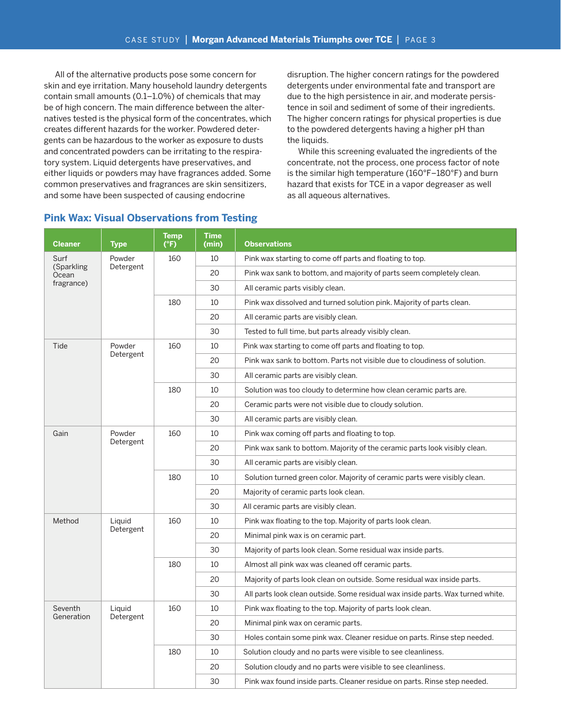All of the alternative products pose some concern for skin and eye irritation. Many household laundry detergents contain small amounts (0.1–1.0%) of chemicals that may be of high concern. The main difference between the alternatives tested is the physical form of the concentrates, which creates different hazards for the worker. Powdered detergents can be hazardous to the worker as exposure to dusts and concentrated powders can be irritating to the respiratory system. Liquid detergents have preservatives, and either liquids or powders may have fragrances added. Some common preservatives and fragrances are skin sensitizers, and some have been suspected of causing endocrine

disruption. The higher concern ratings for the powdered detergents under environmental fate and transport are due to the high persistence in air, and moderate persistence in soil and sediment of some of their ingredients. The higher concern ratings for physical properties is due to the powdered detergents having a higher pH than the liquids.

While this screening evaluated the ingredients of the concentrate, not the process, one process factor of note is the similar high temperature (160°F–180°F) and burn hazard that exists for TCE in a vapor degreaser as well as all aqueous alternatives.

| <b>Cleaner</b>                            | <b>Type</b>         | <b>Temp</b><br>(°F) | <b>Time</b><br>(min) | <b>Observations</b>                                                             |  |  |
|-------------------------------------------|---------------------|---------------------|----------------------|---------------------------------------------------------------------------------|--|--|
| Surf<br>(Sparkling<br>Ocean<br>fragrance) | Powder<br>Detergent | 160                 | 10                   | Pink wax starting to come off parts and floating to top.                        |  |  |
|                                           |                     |                     | 20                   | Pink wax sank to bottom, and majority of parts seem completely clean.           |  |  |
|                                           |                     |                     | 30                   | All ceramic parts visibly clean.                                                |  |  |
|                                           |                     | 180                 | 10                   | Pink wax dissolved and turned solution pink. Majority of parts clean.           |  |  |
|                                           |                     |                     | 20                   | All ceramic parts are visibly clean.                                            |  |  |
|                                           |                     |                     | 30                   | Tested to full time, but parts already visibly clean.                           |  |  |
| Tide                                      | Powder<br>Detergent | 160                 | 10                   | Pink wax starting to come off parts and floating to top.                        |  |  |
|                                           |                     |                     | 20                   | Pink wax sank to bottom. Parts not visible due to cloudiness of solution.       |  |  |
|                                           |                     |                     | 30                   | All ceramic parts are visibly clean.                                            |  |  |
|                                           |                     | 180                 | 10                   | Solution was too cloudy to determine how clean ceramic parts are.               |  |  |
|                                           |                     |                     | 20                   | Ceramic parts were not visible due to cloudy solution.                          |  |  |
|                                           |                     |                     | 30                   | All ceramic parts are visibly clean.                                            |  |  |
| Gain                                      | Powder<br>Detergent | 160                 | 10                   | Pink wax coming off parts and floating to top.                                  |  |  |
|                                           |                     |                     | 20                   | Pink wax sank to bottom. Majority of the ceramic parts look visibly clean.      |  |  |
|                                           |                     |                     | 30                   | All ceramic parts are visibly clean.                                            |  |  |
|                                           |                     | 180                 | 10                   | Solution turned green color. Majority of ceramic parts were visibly clean.      |  |  |
|                                           |                     |                     | 20                   | Majority of ceramic parts look clean.                                           |  |  |
|                                           |                     |                     | 30                   | All ceramic parts are visibly clean.                                            |  |  |
| Method                                    | Liguid<br>Detergent | 160                 | 10                   | Pink wax floating to the top. Majority of parts look clean.                     |  |  |
|                                           |                     |                     | 20                   | Minimal pink wax is on ceramic part.                                            |  |  |
|                                           |                     |                     | 30                   | Majority of parts look clean. Some residual wax inside parts.                   |  |  |
|                                           |                     | 180                 | 10                   | Almost all pink wax was cleaned off ceramic parts.                              |  |  |
|                                           |                     |                     | 20                   | Majority of parts look clean on outside. Some residual wax inside parts.        |  |  |
|                                           |                     |                     | 30                   | All parts look clean outside. Some residual wax inside parts. Wax turned white. |  |  |
| Seventh                                   | Liguid<br>Detergent | 160                 | 10                   | Pink wax floating to the top. Majority of parts look clean.                     |  |  |
| Generation                                |                     |                     | 20                   | Minimal pink wax on ceramic parts.                                              |  |  |
|                                           |                     |                     | 30                   | Holes contain some pink wax. Cleaner residue on parts. Rinse step needed.       |  |  |
|                                           |                     | 180                 | 10                   | Solution cloudy and no parts were visible to see cleanliness.                   |  |  |
|                                           |                     |                     | 20                   | Solution cloudy and no parts were visible to see cleanliness.                   |  |  |
|                                           |                     |                     | 30                   | Pink wax found inside parts. Cleaner residue on parts. Rinse step needed.       |  |  |

# **Pink Wax: Visual Observations from Testing**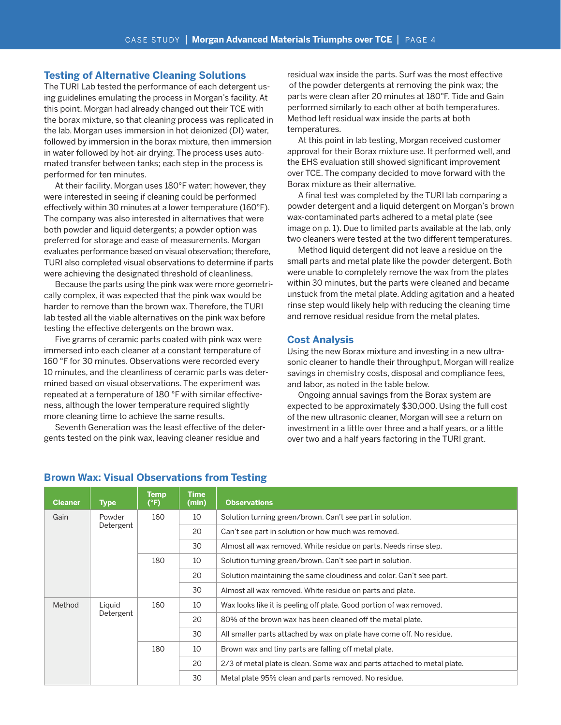### **Testing of Alternative Cleaning Solutions**

The TURI Lab tested the performance of each detergent using guidelines emulating the process in Morgan's facility. At this point, Morgan had already changed out their TCE with the borax mixture, so that cleaning process was replicated in the lab. Morgan uses immersion in hot deionized (DI) water, followed by immersion in the borax mixture, then immersion in water followed by hot-air drying. The process uses automated transfer between tanks; each step in the process is performed for ten minutes.

At their facility, Morgan uses 180°F water; however, they were interested in seeing if cleaning could be performed effectively within 30 minutes at a lower temperature (160°F). The company was also interested in alternatives that were both powder and liquid detergents; a powder option was preferred for storage and ease of measurements. Morgan evaluates performance based on visual observation; therefore, TURI also completed visual observations to determine if parts were achieving the designated threshold of cleanliness.

Because the parts using the pink wax were more geometrically complex, it was expected that the pink wax would be harder to remove than the brown wax. Therefore, the TURI lab tested all the viable alternatives on the pink wax before testing the effective detergents on the brown wax.

Five grams of ceramic parts coated with pink wax were immersed into each cleaner at a constant temperature of 160 °F for 30 minutes. Observations were recorded every 10 minutes, and the cleanliness of ceramic parts was determined based on visual observations. The experiment was repeated at a temperature of 180 °F with similar effectiveness, although the lower temperature required slightly more cleaning time to achieve the same results.

Seventh Generation was the least effective of the detergents tested on the pink wax, leaving cleaner residue and

residual wax inside the parts. Surf was the most effective of the powder detergents at removing the pink wax; the parts were clean after 20 minutes at 180°F. Tide and Gain performed similarly to each other at both temperatures. Method left residual wax inside the parts at both temperatures.

At this point in lab testing, Morgan received customer approval for their Borax mixture use. It performed well, and the EHS evaluation still showed significant improvement over TCE. The company decided to move forward with the Borax mixture as their alternative.

A final test was completed by the TURI lab comparing a powder detergent and a liquid detergent on Morgan's brown wax-contaminated parts adhered to a metal plate (see image on p. 1). Due to limited parts available at the lab, only two cleaners were tested at the two different temperatures.

Method liquid detergent did not leave a residue on the small parts and metal plate like the powder detergent. Both were unable to completely remove the wax from the plates within 30 minutes, but the parts were cleaned and became unstuck from the metal plate. Adding agitation and a heated rinse step would likely help with reducing the cleaning time and remove residual residue from the metal plates.

#### **Cost Analysis**

Using the new Borax mixture and investing in a new ultrasonic cleaner to handle their throughput, Morgan will realize savings in chemistry costs, disposal and compliance fees, and labor, as noted in the table below.

Ongoing annual savings from the Borax system are expected to be approximately \$30,000. Using the full cost of the new ultrasonic cleaner, Morgan will see a return on investment in a little over three and a half years, or a little over two and a half years factoring in the TURI grant.

| <b>Cleaner</b>                | <b>Type</b> | Temp<br>(°F) | <b>Time</b><br>(min) | <b>Observations</b>                                                   |                                                                          |
|-------------------------------|-------------|--------------|----------------------|-----------------------------------------------------------------------|--------------------------------------------------------------------------|
| Gain                          | Powder      | 160          | 10                   | Solution turning green/brown. Can't see part in solution.             |                                                                          |
|                               | Detergent   |              | 20                   | Can't see part in solution or how much was removed.                   |                                                                          |
|                               |             |              | 30                   | Almost all wax removed. White residue on parts. Needs rinse step.     |                                                                          |
|                               |             | 180          | 10                   | Solution turning green/brown. Can't see part in solution.             |                                                                          |
|                               |             |              | 20                   | Solution maintaining the same cloudiness and color. Can't see part.   |                                                                          |
|                               |             |              | 30                   | Almost all wax removed. White residue on parts and plate.             |                                                                          |
| Method<br>Liguid<br>Detergent |             | 160          | 10                   | Wax looks like it is peeling off plate. Good portion of wax removed.  |                                                                          |
|                               |             |              | 20                   | 80% of the brown wax has been cleaned off the metal plate.            |                                                                          |
|                               |             |              | 30                   | All smaller parts attached by wax on plate have come off. No residue. |                                                                          |
|                               |             | 180          | 10                   | Brown wax and tiny parts are falling off metal plate.                 |                                                                          |
|                               |             |              |                      | 20                                                                    | 2/3 of metal plate is clean. Some wax and parts attached to metal plate. |
|                               |             |              | 30                   | Metal plate 95% clean and parts removed. No residue.                  |                                                                          |

#### **Brown Wax: Visual Observations from Testing**